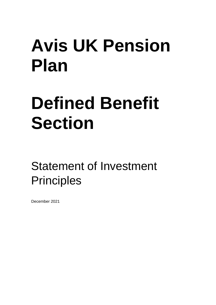# **Avis UK Pension Plan**

## **Defined Benefit Section**

Statement of Investment **Principles** 

December 2021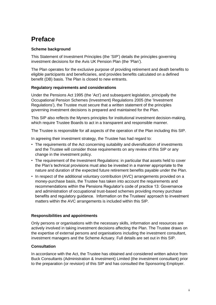## **Preface**

#### **Scheme background**

This Statement of Investment Principles (the 'SIP') details the principles governing investment decisions for the Avis UK Pension Plan (the 'Plan').

The Plan operates for the exclusive purpose of providing retirement and death benefits to eligible participants and beneficiaries, and provides benefits calculated on a defined benefit (DB) basis. The Plan is closed to new entrants.

#### **Regulatory requirements and considerations**

Under the Pensions Act 1995 (the 'Act') and subsequent legislation, principally the Occupational Pension Schemes (Investment) Regulations 2005 (the 'Investment Regulations'), the Trustee must secure that a written statement of the principles governing investment decisions is prepared and maintained for the Plan.

This SIP also reflects the Myners principles for institutional investment decision-making, which require Trustee Boards to act in a transparent and responsible manner.

The Trustee is responsible for all aspects of the operation of the Plan including this SIP.

In agreeing their investment strategy, the Trustee has had regard to:

- The requirements of the Act concerning suitability and diversification of investments and the Trustee will consider those requirements on any review of this SIP or any change in the investment policy.
- The requirement of the Investment Regulations: in particular that assets held to cover the Plan's technical provisions must also be invested in a manner appropriate to the nature and duration of the expected future retirement benefits payable under the Plan.
- In respect of the additional voluntary contribution (AVC) arrangements provided on a money-purchase basis, the Trustee has taken into account the requirements and recommendations within the Pensions Regulator's code of practice 13: Governance and administration of occupational trust-based schemes providing money purchase benefits and regulatory guidance. Information on the Trustees' approach to investment matters within the AVC arrangements is included within this SIP.

#### **Responsibilities and appointments**

Only persons or organisations with the necessary skills, information and resources are actively involved in taking investment decisions affecting the Plan. The Trustee draws on the expertise of external persons and organisations including the investment consultant, investment managers and the Scheme Actuary. Full details are set out in this SIP.

#### **Consultation**

In accordance with the Act, the Trustee has obtained and considered written advice from Buck Consultants (Administration & Investment) Limited (the investment consultant) prior to the preparation (or revision) of this SIP and has consulted the Sponsoring Employer.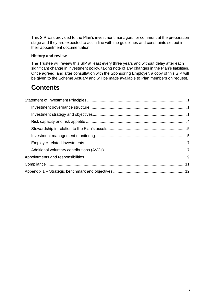This SIP was provided to the Plan's investment managers for comment at the preparation stage and they are expected to act in line with the guidelines and constraints set out in their appointment documentation.

#### **History and review**

The Trustee will review this SIP at least every three years and without delay after each significant change in investment policy, taking note of any changes in the Plan's liabilities. Once agreed, and after consultation with the Sponsoring Employer, a copy of this SIP will be given to the Scheme Actuary and will be made available to Plan members on request.

## **Contents**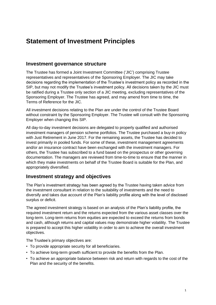## <span id="page-3-0"></span>**Statement of Investment Principles**

#### <span id="page-3-1"></span>**Investment governance structure**

The Trustee has formed a Joint Investment Committee ('JIC') comprising Trustee representatives and representatives of the Sponsoring Employer. The JIC may take decisions regarding the implementation of the Trustee's investment policy as recorded in the SIP, but may not modify the Trustee's investment policy. All decisions taken by the JIC must be ratified during a Trustee only section of a JIC meeting, excluding representatives of the Sponsoring Employer. The Trustee has agreed, and may amend from time to time, the Terms of Reference for the JIC.

All investment decisions relating to the Plan are under the control of the Trustee Board without constraint by the Sponsoring Employer. The Trustee will consult with the Sponsoring Employer when changing this SIP.

All day-to-day investment decisions are delegated to properly qualified and authorised investment managers of pension scheme portfolios. The Trustee purchased a buy-in policy with Just Retirement in June 2017. For the remaining assets, the Trustee has decided to invest primarily in pooled funds. For some of these, investment management agreements and/or an insurance contract have been exchanged with the investment managers. For others, the Trustee has subscribed to a fund based on the prospectus or other governing documentation. The managers are reviewed from time-to-time to ensure that the manner in which they make investments on behalf of the Trustee Board is suitable for the Plan, and appropriately diversified.

#### <span id="page-3-2"></span>**Investment strategy and objectives**

The Plan's investment strategy has been agreed by the Trustee having taken advice from the investment consultant in relation to the suitability of investments and the need to diversify and takes due account of the Plan's liability profile along with the level of disclosed surplus or deficit.

The agreed investment strategy is based on an analysis of the Plan's liability profile, the required investment return and the returns expected from the various asset classes over the long-term. Long-term returns from equities are expected to exceed the returns from bonds and cash, although returns and capital values may demonstrate higher volatility. The Trustee is prepared to accept this higher volatility in order to aim to achieve the overall investment objectives.

The Trustee's primary objectives are:

- To provide appropriate security for all beneficiaries.
- To achieve long-term growth sufficient to provide the benefits from the Plan.
- To achieve an appropriate balance between risk and return with regards to the cost of the Plan and the security of the benefits.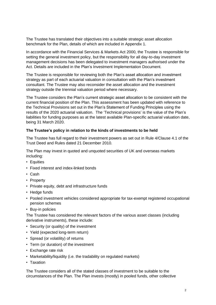The Trustee has translated their objectives into a suitable strategic asset allocation benchmark for the Plan, details of which are included in Appendix 1.

In accordance with the Financial Services & Markets Act 2000, the Trustee is responsible for setting the general investment policy, but the responsibility for all day-to-day investment management decisions has been delegated to investment managers authorised under the Act. Details are included in the Plan's Investment Implementation Document.

The Trustee is responsible for reviewing both the Plan's asset allocation and investment strategy as part of each actuarial valuation in consultation with the Plan's investment consultant. The Trustee may also reconsider the asset allocation and the investment strategy outside the triennial valuation period where necessary.

The Trustee considers the Plan's current strategic asset allocation to be consistent with the current financial position of the Plan. This assessment has been updated with reference to the Technical Provisions set out in the Plan's Statement of Funding Principles using the results of the 2020 actuarial valuation. The 'Technical provisions' is the value of the Plan's liabilities for funding purposes as at the latest available Plan-specific actuarial valuation date, being 31 March 2020.

#### **The Trustee's policy in relation to the kinds of investments to be held**

The Trustee has full regard to their investment powers as set out in Rule 4/Clause 4.1 of the Trust Deed and Rules dated 21 December 2010.

The Plan may invest in quoted and unquoted securities of UK and overseas markets including:

- Equities
- Fixed interest and index-linked bonds
- Cash
- Property
- Private equity, debt and infrastructure funds
- Hedge funds
- Pooled investment vehicles considered appropriate for tax-exempt registered occupational pension schemes
- Buy-in policies

The Trustee has considered the relevant factors of the various asset classes (including derivative instruments), these include:

- Security (or quality) of the investment
- Yield (expected long-term return)
- Spread (or volatility) of returns
- Term (or duration) of the investment
- Exchange rate risk
- Marketability/liquidity (i.e. the tradability on regulated markets)
- Taxation

The Trustee considers all of the stated classes of investment to be suitable to the circumstances of the Plan. The Plan invests (mostly) in pooled funds, other collective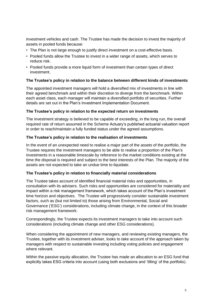investment vehicles and cash. The Trustee has made the decision to invest the majority of assets in pooled funds because:

- The Plan is not large enough to justify direct investment on a cost-effective basis.
- Pooled funds allow the Trustee to invest in a wider range of assets, which serves to reduce risk.
- Pooled funds provide a more liquid form of investment than certain types of direct investment.

#### **The Trustee's policy in relation to the balance between different kinds of investments**

The appointed investment managers will hold a diversified mix of investments in line with their agreed benchmark and within their discretion to diverge from the benchmark. Within each asset class, each manager will maintain a diversified portfolio of securities. Further details are set out in the Plan's Investment Implementation Document.

#### **The Trustee's policy in relation to the expected return on investments**

The investment strategy is believed to be capable of exceeding, in the long run, the overall required rate of return assumed in the Scheme Actuary's published actuarial valuation report in order to reach/maintain a fully funded status under the agreed assumptions.

#### **The Trustee's policy in relation to the realisation of investments**

In the event of an unexpected need to realise a major part of the assets of the portfolio, the Trustee requires the investment managers to be able to realise a proportion of the Plan's investments in a reasonable timescale by reference to the market conditions existing at the time the disposal is required and subject to the best interests of the Plan. The majority of the assets are not expected to take an undue time to liquidate.

#### **The Trustee's policy in relation to financially material considerations**

The Trustee takes account of identified financial material risks and opportunities, in consultation with its advisers. Such risks and opportunities are considered for materiality and impact within a risk management framework, which takes account of the Plan's investment time horizon and objectives. The Trustee will progressively consider sustainable investment factors, such as (but not limited to) those arising from Environmental, Social and Governance ('ESG') considerations, including climate change, in the context of this broader risk management framework.

Correspondingly, the Trustee expects its investment managers to take into account such considerations (including climate change and other ESG considerations).

When considering the appointment of new managers, and reviewing existing managers, the Trustee, together with its investment adviser, looks to take account of the approach taken by managers with respect to sustainable investing including voting policies and engagement where relevant.

Within the passive equity allocation, the Trustee has made an allocation to an ESG fund that explicitly takes ESG criteria into account (using both exclusions and 'tilting' of the portfolio).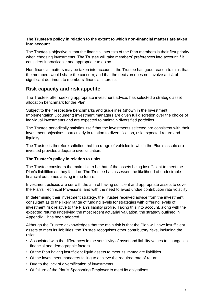#### **The Trustee's policy in relation to the extent to which non-financial matters are taken into account**

The Trustee's objective is that the financial interests of the Plan members is their first priority when choosing investments. The Trustee will take members' preferences into account if it considers it practicable and appropriate to do so.

Non-financial matters may be taken into account if the Trustee has good reason to think that the members would share the concern; and that the decision does not involve a risk of significant detriment to members' financial interests.

#### <span id="page-6-0"></span>**Risk capacity and risk appetite**

The Trustee, after seeking appropriate investment advice, has selected a strategic asset allocation benchmark for the Plan.

Subject to their respective benchmarks and guidelines (shown in the Investment Implementation Document) investment managers are given full discretion over the choice of individual investments and are expected to maintain diversified portfolios.

The Trustee periodically satisfies itself that the investments selected are consistent with their investment objectives, particularly in relation to diversification, risk, expected return and liquidity.

The Trustee is therefore satisfied that the range of vehicles in which the Plan's assets are invested provides adequate diversification.

#### **The Trustee's policy in relation to risks**

The Trustee considers the main risk to be that of the assets being insufficient to meet the Plan's liabilities as they fall due. The Trustee has assessed the likelihood of undesirable financial outcomes arising in the future.

Investment policies are set with the aim of having sufficient and appropriate assets to cover the Plan's Technical Provisions, and with the need to avoid undue contribution rate volatility.

In determining their investment strategy, the Trustee received advice from the investment consultant as to the likely range of funding levels for strategies with differing levels of investment risk relative to the Plan's liability profile. Taking this into account, along with the expected returns underlying the most recent actuarial valuation, the strategy outlined in Appendix 1 has been adopted.

Although the Trustee acknowledges that the main risk is that the Plan will have insufficient assets to meet its liabilities, the Trustee recognises other contributory risks, including the risks:

- Associated with the differences in the sensitivity of asset and liability values to changes in financial and demographic factors.
- Of the Plan having insufficient liquid assets to meet its immediate liabilities.
- Of the investment managers failing to achieve the required rate of return.
- Due to the lack of diversification of investments.
- Of failure of the Plan's Sponsoring Employer to meet its obligations.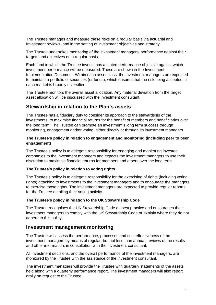The Trustee manages and measure these risks on a regular basis via actuarial and Investment reviews, and in the setting of investment objectives and strategy.

The Trustee undertakes monitoring of the investment managers' performance against their targets and objectives on a regular basis.

Each fund in which the Trustee invests has a stated performance objective against which investment performance will be measured. These are shown in the Investment Implementation Document. Within each asset class, the investment managers are expected to maintain a portfolio of securities (or funds), which ensures that the risk being accepted in each market is broadly diversified.

The Trustee monitors the overall asset allocation. Any material deviation from the target asset allocation will be discussed with the investment consultant.

#### <span id="page-7-0"></span>**Stewardship in relation to the Plan's assets**

The Trustee has a fiduciary duty to consider its approach to the stewardship of the investments, to maximise financial returns for the benefit of members and beneficiaries over the long term. The Trustee can promote an investment's long term success through monitoring, engagement and/or voting, either directly or through its investment managers.

#### **The Trustee's policy in relation to engagement and monitoring (including peer to peer engagement)**

The Trustee's policy is to delegate responsibility for engaging and monitoring investee companies to the investment managers and expects the investment managers to use their discretion to maximise financial returns for members and others over the long term.

#### **The Trustee's policy in relation to voting rights**

The Trustee's policy is to delegate responsibility for the exercising of rights (including voting rights) attaching to investments to the investment managers and to encourage the managers to exercise those rights. The investment managers are expected to provide regular reports for the Trustee detailing their voting activity.

#### **The Trustee's policy in relation to the UK Stewardship Code**

The Trustee recognises the UK Stewardship Code as best practice and encourages their investment managers to comply with the UK Stewardship Code or explain where they do not adhere to this policy.

#### <span id="page-7-1"></span>**Investment management monitoring**

The Trustee will assess the performance, processes and cost effectiveness of the investment managers by means of regular, but not less than annual, reviews of the results and other information, in consultation with the investment consultant.

All investment decisions, and the overall performance of the investment managers, are monitored by the Trustee with the assistance of the investment consultant.

The investment managers will provide the Trustee with quarterly statements of the assets held along with a quarterly performance report. The investment managers will also report orally on request to the Trustee.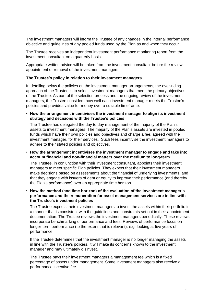The investment managers will inform the Trustee of any changes in the internal performance objective and guidelines of any pooled funds used by the Plan as and when they occur.

The Trustee receives an independent investment performance monitoring report from the investment consultant on a quarterly basis.

Appropriate written advice will be taken from the investment consultant before the review, appointment or removal of the investment managers.

#### **The Trustee's policy in relation to their investment managers**

In detailing below the policies on the investment manager arrangements, the over-riding approach of the Trustee is to select investment managers that meet the primary objectives of the Trustee. As part of the selection process and the ongoing review of the investment managers, the Trustee considers how well each investment manager meets the Trustee's policies and provides value for money over a suitable timeframe.

• **How the arrangement incentivises the investment manager to align its investment strategy and decisions with the Trustee's policies**

The Trustee has delegated the day to day management of the majority of the Plan's assets to investment managers. The majority of the Plan's assets are invested in pooled funds which have their own policies and objectives and charge a fee, agreed with the investment manager, for their services. Such fees incentivise the investment managers to adhere to their stated policies and objectives.

• **How the arrangement incentivises the investment manager to engage and take into account financial and non-financial matters over the medium to long-term**

The Trustee, in conjunction with their investment consultant, appoints their investment managers to meet specific Plan policies. They expect that their investment managers make decisions based on assessments about the financial of underlying investments, and that they engage with issuers of debt or equity to improve their performance (and thereby the Plan's performance) over an appropriate time horizon.

• **How the method (and time horizon) of the evaluation of the investment manager's performance and the remuneration for asset management services are in line with the Trustee's investment policies**

The Trustee expects their investment managers to invest the assets within their portfolio in a manner that is consistent with the guidelines and constraints set out in their appointment documentation. The Trustee reviews the investment managers periodically. These reviews incorporate benchmarking of performance and fees. Reviews of performance focus on longer-term performance (to the extent that is relevant), e.g. looking at five years of performance.

If the Trustee determines that the investment manager is no longer managing the assets in line with the Trustee's policies, it will make its concerns known to the investment manager and may ultimately disinvest.

The Trustee pays their investment managers a management fee which is a fixed percentage of assets under management. Some investment managers also receive a performance incentive fee.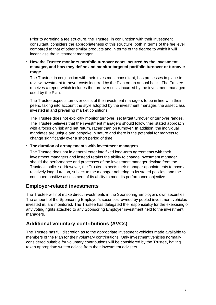Prior to agreeing a fee structure, the Trustee, in conjunction with their investment consultant, considers the appropriateness of this structure, both in terms of the fee level compared to that of other similar products and in terms of the degree to which it will incentivise the investment manager.

#### • **How the Trustee monitors portfolio turnover costs incurred by the investment manager, and how they define and monitor targeted portfolio turnover or turnover range**

The Trustee, in conjunction with their investment consultant, has processes in place to review investment turnover costs incurred by the Plan on an annual basis. The Trustee receives a report which includes the turnover costs incurred by the investment managers used by the Plan.

The Trustee expects turnover costs of the investment managers to be in line with their peers, taking into account the style adopted by the investment manager, the asset class invested in and prevailing market conditions.

The Trustee does not explicitly monitor turnover, set target turnover or turnover ranges. The Trustee believes that the investment managers should follow their stated approach with a focus on risk and net return, rather than on turnover. In addition, the individual mandates are unique and bespoke in nature and there is the potential for markets to change significantly over a short period of time.

#### • **The duration of arrangements with investment managers**

The Trustee does not in general enter into fixed long-term agreements with their investment managers and instead retains the ability to change investment manager should the performance and processes of the investment manager deviate from the Trustee's policies. However, the Trustee expects their manager appointments to have a relatively long duration, subject to the manager adhering to its stated policies, and the continued positive assessment of its ability to meet its performance objective.

#### <span id="page-9-0"></span>**Employer-related investments**

The Trustee will not make direct investments in the Sponsoring Employer's own securities. The amount of the Sponsoring Employer's securities, owned by pooled investment vehicles invested in, are monitored. The Trustee has delegated the responsibility for the exercising of any voting rights attached to any Sponsoring Employer investment held to the investment managers.

#### <span id="page-9-1"></span>**Additional voluntary contributions (AVCs)**

The Trustee has full discretion as to the appropriate investment vehicles made available to members of the Plan for their voluntary contributions. Only investment vehicles normally considered suitable for voluntary contributions will be considered by the Trustee, having taken appropriate written advice from their investment advisers.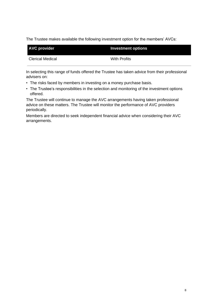The Trustee makes available the following investment option for the members' AVCs:

| <b>AVC provider</b> | Investment options |
|---------------------|--------------------|
| Clerical Medical    | With Profits       |

In selecting this range of funds offered the Trustee has taken advice from their professional advisers on:

- The risks faced by members in investing on a money purchase basis.
- The Trustee's responsibilities in the selection and monitoring of the investment options offered.

The Trustee will continue to manage the AVC arrangements having taken professional advice on these matters. The Trustee will monitor the performance of AVC providers periodically.

Members are directed to seek independent financial advice when considering their AVC arrangements.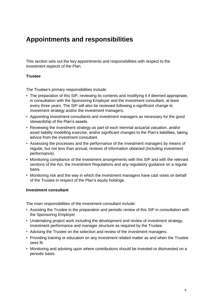## <span id="page-11-0"></span>**Appointments and responsibilities**

This section sets out the key appointments and responsibilities with respect to the investment aspects of the Plan.

#### **Trustee**

The Trustee's primary responsibilities include:

- The preparation of this SIP, reviewing its contents and modifying it if deemed appropriate, in consultation with the Sponsoring Employer and the investment consultant, at least every three years. The SIP will also be reviewed following a significant change to investment strategy and/or the investment managers.
- Appointing investment consultants and investment managers as necessary for the good stewardship of the Plan's assets.
- Reviewing the investment strategy as part of each triennial actuarial valuation, and/or asset liability modelling exercise, and/or significant changes to the Plan's liabilities, taking advice from the investment consultant.
- Assessing the processes and the performance of the investment managers by means of regular, but not less than annual, reviews of information obtained (including investment performance).
- Monitoring compliance of the investment arrangements with this SIP and with the relevant sections of the Act, the Investment Regulations and any regulatory guidance on a regular basis.
- Monitoring risk and the way in which the investment managers have cast votes on behalf of the Trustee in respect of the Plan's equity holdings.

#### **Investment consultant**

The main responsibilities of the investment consultant include:

- Assisting the Trustee in the preparation and periodic review of this SIP in consultation with the Sponsoring Employer.
- Undertaking project work including the development and review of investment strategy, investment performance and manager structure as required by the Trustee.
- Advising the Trustee on the selection and review of the investment managers.
- Providing training or education on any investment related matter as and when the Trustee sees fit.
- Monitoring and advising upon where contributions should be invested or disinvested on a periodic basis.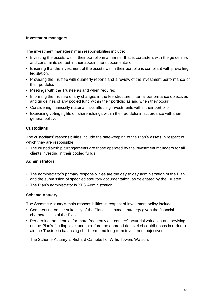#### **Investment managers**

The investment managers' main responsibilities include:

- Investing the assets within their portfolio in a manner that is consistent with the guidelines and constraints set out in their appointment documentation.
- Ensuring that the investment of the assets within their portfolio is compliant with prevailing legislation.
- Providing the Trustee with quarterly reports and a review of the investment performance of their portfolio.
- Meetings with the Trustee as and when required.
- Informing the Trustee of any changes in the fee structure, internal performance objectives and guidelines of any pooled fund within their portfolio as and when they occur.
- Considering financially material risks affecting investments within their portfolio.
- Exercising voting rights on shareholdings within their portfolio in accordance with their general policy.

#### **Custodians**

The custodians' responsibilities include the safe-keeping of the Plan's assets in respect of which they are responsible.

• The custodianship arrangements are those operated by the investment managers for all clients investing in their pooled funds.

#### **Administrators**

- The administrator's primary responsibilities are the day to day administration of the Plan and the submission of specified statutory documentation, as delegated by the Trustee.
- The Plan's administrator is XPS Administration.

#### **Scheme Actuary**

The Scheme Actuary's main responsibilities in respect of investment policy include:

- Commenting on the suitability of the Plan's investment strategy given the financial characteristics of the Plan.
- Performing the triennial (or more frequently as required) actuarial valuation and advising on the Plan's funding level and therefore the appropriate level of contributions in order to aid the Trustee in balancing short-term and long-term investment objectives.

The Scheme Actuary is Richard Campbell of Willis Towers Watson.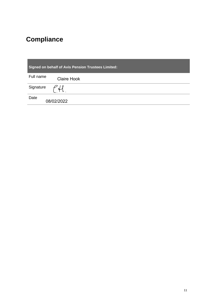## <span id="page-13-0"></span>**Compliance**

| <b>Signed on behalf of Avis Pension Trustees Limited:</b> |  |  |
|-----------------------------------------------------------|--|--|
| Full name<br><b>Claire Hook</b>                           |  |  |
| Signature<br>ิ่ ปา                                        |  |  |
| Date<br>08/02/2022                                        |  |  |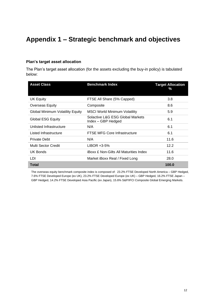## <span id="page-14-0"></span>**Appendix 1 – Strategic benchmark and objectives**

#### **Plan's target asset allocation**

The Plan's target asset allocation (for the assets excluding the buy-in policy) is tabulated below:

| <b>Asset Class</b>                      | <b>Benchmark Index</b>                                 | <b>Target Allocation</b><br>% |
|-----------------------------------------|--------------------------------------------------------|-------------------------------|
| <b>UK Equity</b>                        | FTSE All Share (5% Capped)                             | 3.8                           |
| <b>Overseas Equity</b>                  | Composite                                              | 8.6                           |
| <b>Global Minimum Volatility Equity</b> | <b>MSCI World Minimum Volatility</b>                   | 5.9                           |
| <b>Global ESG Equity</b>                | Solactive L&G ESG Global Markets<br>Index – GBP Hedged | 6.1                           |
| Unlisted Infrastructure                 | N/A                                                    | 6.1                           |
| Listed Infrastructure                   | FTSE MFG Core Infrastructure                           | 6.1                           |
| <b>Private Debt</b>                     | N/A                                                    | 11.6                          |
| Multi Sector Credit                     | LIBOR +3-5%                                            | 12.2                          |
| <b>UK Bonds</b>                         | <b>iBoxx £ Non-Gilts All Maturities Index</b>          | 11.6                          |
| LDI                                     | Market iBoxx Real / Fixed Long                         | 28.0                          |
| <b>Total</b>                            |                                                        | 100.0                         |

The overseas equity benchmark composite index is composed of: 23.2% FTSE Developed North America – GBP Hedged, 7.6% FTSE Developed Europe (ex UK), 23.2% FTSE Developed Europe (ex UK) – GBP Hedged, 16.2% FTSE Japan – GBP Hedged, 14.2% FTSE Developed Asia Pacific (ex Japan), 15.6% S&P/IFCI Composite Global Emerging Markets.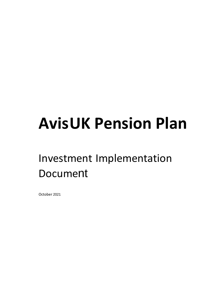## **AvisUK Pension Plan**

## Investment Implementation Document

October 2021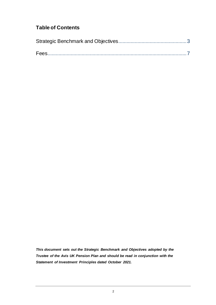## **Table of Contents**

*This document sets out the Strategic Benchmark and Objectives adopted by the Trustee of the Avis UK Pension Plan and should be read in conjunction with the Statement of Investment Principles dated October 2021.*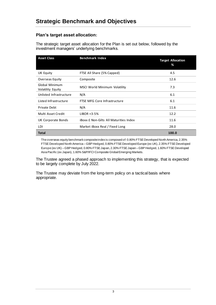#### **Plan's target asset allocation:**

The strategic target asset allocation for the Plan is set out below, followed by the investment managers' underlying benchmarks.

| <b>Asset Class</b>                  | <b>Benchmark Index</b>                        | <b>Target Allocation</b><br>% |
|-------------------------------------|-----------------------------------------------|-------------------------------|
| UK Equity                           | FTSE All Share (5% Capped)                    | 4.5                           |
| <b>Overseas Equity</b>              | Composite                                     | 12.6                          |
| Global Minimum<br>Volatility Equity | MSCI World Minimum Volatility                 | 7.3                           |
| Unlisted Infrastructure             | N/A                                           | 6.1                           |
| Listed Infrastructure               | FTSE MFG Core Infrastructure                  | 6.1                           |
| Private Debt                        | N/A                                           | 11.6                          |
| Multi Asset Credit                  | $LIBOR + 3-5%$                                | 12.2                          |
| UK Corporate Bonds                  | <b>iBoxx £ Non-Gilts All Maturities Index</b> | 11.6                          |
| LDI                                 | Market iBoxx Real / Fixed Long                | 28.0                          |
| <b>Total</b>                        |                                               | 100.0                         |

The overseas equity benchmark composite index is composed of: 0.80% FTSE Developed North America, 2.35% FTSE Developed North America – GBP Hedged, 0.80% FTSE Developed Europe (ex UK), 2.35% FTSE Developed Europe (ex UK) – GBP Hedged, 0.80% FTSE Japan, 2.30% FTSE Japan – GBP Hedged, 1.60% FTSE Developed Asia Pacific (ex Japan), 1.60% S&P/IFCI Composite Global Emerging Markets.

The Trustee agreed a phased approach to implementing this strategy, that is expected to be largely complete by July 2022.

The Trustee may deviate from the long-term policy on a tactical basis where appropriate.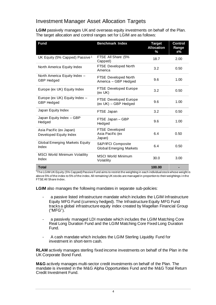### Investment Manager Asset Allocation Targets

**LGIM** passively manages UK and overseas equity investments on behalf of the Plan. The target allocation and control ranges set for LGIM are as follows:

| Fund                                               | <b>Benchmark Index</b>                               | <b>Target</b><br><b>Allocation</b><br>% | <b>Control</b><br>Range<br>$±\%$ |
|----------------------------------------------------|------------------------------------------------------|-----------------------------------------|----------------------------------|
| UK Equity (5% Capped) Passive <sup>1</sup>         | FTSE All Share (5%<br>Capped)                        | 18.7                                    | 2.00                             |
| North America Equity Index                         | FTSE Developed North<br>America                      | 3.2                                     | 0.50                             |
| North America Equity Index -<br><b>GBP Hedged</b>  | <b>FTSE Developed North</b><br>America - GBP Hedged  | 9.6                                     | 1.00                             |
| Europe (ex UK) Equity Index                        | <b>FTSE Developed Europe</b><br>(ex UK)              | 3.2                                     | 0.50                             |
| Europe (ex UK) Equity Index -<br><b>GBP Hedged</b> | FTSE Developed Europe<br>(ex UK) - GBP Hedged        | 9.6                                     | 1.00                             |
| Japan Equity Index                                 | FTSE Japan                                           | 3.2                                     | 0.50                             |
| Japan Equity Index - GBP<br>Hedged                 | FTSE Japan - GBP<br>Hedged                           | 9.6                                     | 1.00                             |
| Asia Pacific (ex Japan)<br>Developed Equity Index  | <b>FTSE Developed</b><br>Asia Pacific (ex<br>Japan)  | 6.4                                     | 0.50                             |
| <b>Global Emerging Markets Equity</b><br>Index     | S&P/IFCI Composite<br><b>Global Emerging Markets</b> | 6.4                                     | 0.50                             |
| <b>MSCI World Minimum Volatility</b><br>Index      | <b>MSCI World Minimum</b><br>Volatility              | 30.0                                    | 3.00                             |
| <b>Total</b>                                       |                                                      | 100.00                                  |                                  |

<sup>1</sup>The LGIM UK Equity (5% Capped) Passive Fund aims to restrict the weighting in each individual stock whose weight is above 5% of the index to 5% of the index. All remaining UK stocks are managed in proportion to their weightings in the FTSE All Share Index.

**LGIM** also manages the following mandates in separate sub-policies:

- a passive listed infrastructure mandate which includes the LGIM Infrastructure Equity MFG Fund (currency hedged). The Infrastructure Equity MFG Fund tracks a global infrastructure equity index created by Magellan Financial Group ("MFG").
- a passively managed LDI mandate which includes the LGIM Matching Core Real Long Duration Fund and the LGIM Matching Core Fixed Long Duration Fund.
- A cash mandate which includes the LGIM Sterling Liquidity Fund for investment in short-term cash.

**RLAM** actively manages sterling fixed income investments on behalf of the Plan in the UK Corporate Bond Fund.

**M&G** actively manages multi-sector credit investments on behalf of the Plan. The mandate is invested in the M&G Alpha Opportunities Fund and the M&G Total Return Credit Investment Fund.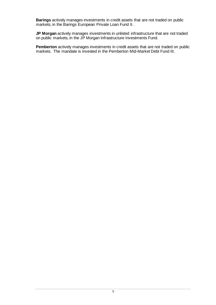**Barings** actively manages investments in credit assets that are not traded on public markets, in the Barings European Private Loan Fund II.

**JP Morgan** actively manages investments in unlisted infrastructure that are not traded on public markets, in the JP Morgan Infrastructure Investments Fund.

**Pemberton** actively manages investments in credit assets that are not traded on public markets. The mandate is invested in the Pemberton Mid-Market Debt Fund III.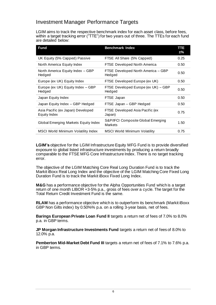### Investment Manager Performance Targets

LGIM aims to track the respective benchmark index for each asset class, before fees, within a target tracking error ("TTE") for two years out of three. The TTEs for each fund are detailed below:

| <b>Fund</b>                                       | <b>Benchmark Index</b>                        | TTE<br>±% |
|---------------------------------------------------|-----------------------------------------------|-----------|
| UK Equity (5% Capped) Passive                     | FTSE All Share (5% Capped)                    | 0.25      |
| North America Equity Index                        | <b>FTSE Developed North America</b>           | 0.50      |
| North America Equity Index - GBP<br>Hedged        | FTSE Developed North America - GBP<br>Hedged  | 0.50      |
| Europe (ex UK) Equity Index                       | FTSE Developed Europe (ex UK)                 | 0.50      |
| Europe (ex UK) Equity Index - GBP<br>Hedged       | FTSE Developed Europe (ex UK) - GBP<br>Hedged | 0.50      |
| Japan Equity Index                                | FTSE Japan                                    | 0.50      |
| Japan Equity Index - GBP Hedged                   | FTSE Japan - GBP Hedged                       | 0.50      |
| Asia Pacific (ex Japan) Developed<br>Equity Index | FTSE Developed Asia Pacific (ex<br>Japan)     | 0.75      |
| Global Emerging Markets Equity Index              | S&P/IFCI Composite Global Emerging<br>Markets | 1.50      |
| <b>MSCI World Minimum Volatility Index</b>        | <b>MSCI World Minimum Volatility</b>          | 0.75      |

**LGIM's** objective for the LGIM Infrastructure Equity MFG Fund is to provide diversified exposure to global listed infrastructure investments by producing a return broadly comparable to the FTSE MFG Core Infrastructure Index. There is no target tracking error.

The objective of the LGIM Matching Core Real Long Duration Fund is to track the Markit iBoxx Real Long Index and the objective of the LGIM Matching Core Fixed Long Duration Fund is to track the Markit iBoxx Fixed Long Index.

**M&G** has a performance objective for the Alpha Opportunities Fund which is a target return of one month LIBOR +3-5% p.a., gross of fees over a cycle. The target for the Total Return Credit Investment Fund is the same.

**RLAM** has a performance objective which is to outperform its benchmark (Markit iBoxx GBP Non Gilts index) by 0.50%% p.a. on a rolling 3-year basis, net of fees.

**Barings European Private Loan Fund II** targets a return net of fees of 7.0% to 8.0% p.a. in GBP terms.

**JP Morgan Infrastructure Investments Fund** targets a return net of fees of 8.0% to 12.0% p.a.

**Pemberton Mid-Market Debt Fund III** targets a return net of fees of 7.1% to 7.6% p.a. in GBP terms.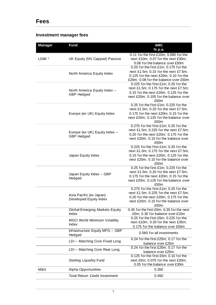## **Fees**

### **Investment manager fees**

| <b>Manager</b>    | <b>Fund</b>                                        | <b>AMC</b>                                                                                                                                                               |
|-------------------|----------------------------------------------------|--------------------------------------------------------------------------------------------------------------------------------------------------------------------------|
|                   |                                                    | % p.a.                                                                                                                                                                   |
| LGIM <sup>1</sup> | UK Equity (5% Capped) Passive                      | 0.11 for the first £10m; 0.085 for the<br>next £10m; 0.07 for the next £30m;<br>0.06 for the balance over £50m                                                           |
|                   | North America Equity Index                         | 0.20 for the first £1m; 0.175 for the<br>next £1.5m; 0.15 for the next £7.5m;<br>0.125 for the next £20m; 0.10 for the<br>£20m; 0.08 for the balance over £50m           |
|                   | North America Equity Index -<br><b>GBP Hedged</b>  | 0.225 for the first £1m; 0.20 for the<br>next £1.5m; 0.175 for the next £7.5m;<br>0.15 for the next £20m; 0.125 for the<br>next £20m; 0.105 for the balance over<br>£50m |
|                   | Europe (ex UK) Equity Index                        | 0.25 for the first £1m; 0.225 for the<br>next £1.5m; 0.20 for the next £7.5m;<br>0.175 for the next £20m; 0.15 for the<br>next £20m; 0.125 for the balance over<br>£50m  |
|                   | Europe (ex UK) Equity Index -<br><b>GBP</b> Hedged | 0.275 for the first £1m; 0.25 for the<br>next £1.5m; 0.225 for the next £7.5m;<br>0.20 for the next £20m; 0.175 for the<br>next £20m; 0.15 for the balance over<br>£50m  |
|                   | Japan Equity Index                                 | 0.225 for the first £1m; 0.20 for the<br>next £1.5m; 0.175 for the next £7.5m;<br>0.15 for the next £20m; 0.125 for the<br>next £20m; 0.10 for the balance over<br>£50m  |
|                   | Japan Equity Index - GBP<br>Hedged                 | 0.25 for the first £1m; 0.225 for the<br>next £1.5m; 0.20 for the next £7.5m;<br>0.175 for the next £20m; 0.15 for the<br>next £20m; 0.125 for the balance over<br>£50m  |
|                   | Asia Pacific (ex Japan)<br>Developed Equity Index  | 0.275 for the first £1m; 0.25 for the<br>next £1.5m; 0.225 for the next £7.5m;<br>0.20 for the next £20m; 0.175 for the<br>next £20m; 0.15 for the balance over<br>£50m  |
|                   | <b>Global Emerging Markets Equity</b><br>Index     | 0.45 for the first £5m; 0.35 for the next<br>£5m; 0.30 for balance over £10m                                                                                             |
|                   | <b>MSCI World Minimum Volatility</b><br>Index      | 0.25 for the first £5m; 0.225 for the<br>next £10m; 0.20 for the next £35m;<br>0.175 for the balance over £50m                                                           |
|                   | Infrastructure Equity MFG - GBP<br>Hedged          | 0.560 for all investments                                                                                                                                                |
|                   | LDI - Matching Core Fixed Long                     | 0.24 for the first £25m; 0.17 for the<br>balance over £25m                                                                                                               |
|                   | LDI - Matching Core Real Long                      | 0.24 for the first £25m; 0.17 for the<br>balance over £25m                                                                                                               |
|                   | <b>Sterling Liquidity Fund</b>                     | 0.125 for the first £5m; 0.10 for the<br>next £5m; 0.075 for the next £20m;<br>0.05 for the balance over £30m                                                            |
| M&G               | <b>Alpha Opportunities</b>                         | 0.350                                                                                                                                                                    |
|                   | <b>Total Return Credit Investment</b>              | 0.450                                                                                                                                                                    |